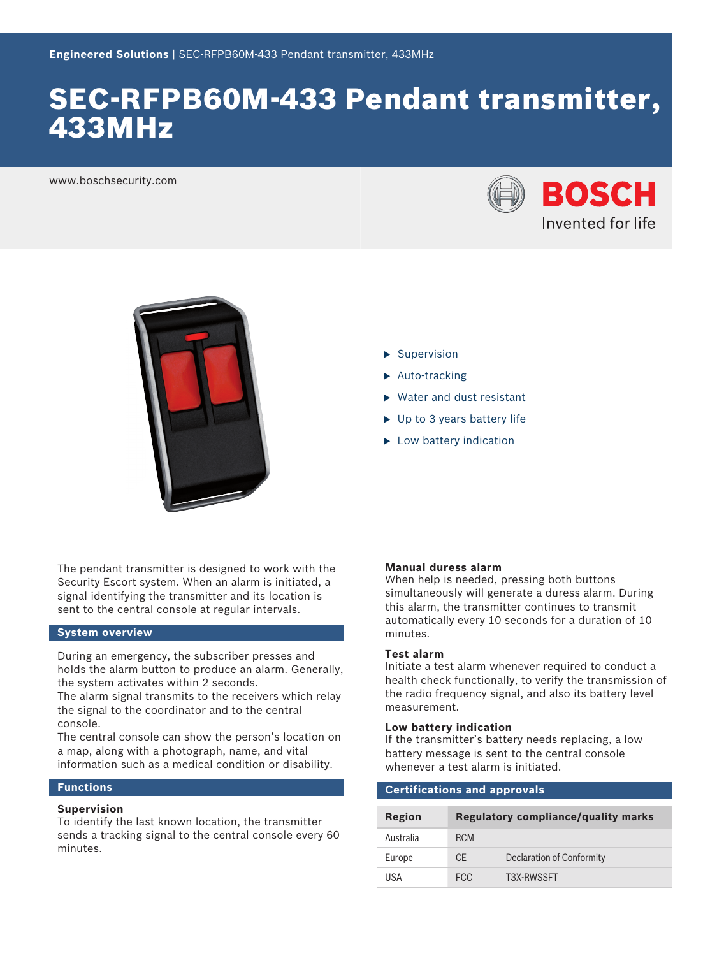# SEC-RFPB60M-433 Pendant transmitter, 433MHz

www.boschsecurity.com





 $\blacktriangleright$  Supervision

- $\blacktriangleright$  Auto-tracking
- $\blacktriangleright$  Water and dust resistant
- $\blacktriangleright$  Up to 3 years battery life
- $\blacktriangleright$  Low battery indication

The pendant transmitter is designed to work with the Security Escort system. When an alarm is initiated, a signal identifying the transmitter and its location is sent to the central console at regular intervals.

# **System overview**

During an emergency, the subscriber presses and holds the alarm button to produce an alarm. Generally, the system activates within 2 seconds.

The alarm signal transmits to the receivers which relay the signal to the coordinator and to the central console.

The central console can show the person's location on a map, along with a photograph, name, and vital information such as a medical condition or disability.

# **Functions**

#### **Supervision**

To identify the last known location, the transmitter sends a tracking signal to the central console every 60 minutes.

#### **Manual duress alarm**

When help is needed, pressing both buttons simultaneously will generate a duress alarm. During this alarm, the transmitter continues to transmit automatically every 10 seconds for a duration of 10 minutes.

#### **Test alarm**

Initiate a test alarm whenever required to conduct a health check functionally, to verify the transmission of the radio frequency signal, and also its battery level measurement.

# **Low battery indication**

If the transmitter's battery needs replacing, a low battery message is sent to the central console whenever a test alarm is initiated.

| <b>Certifications and approvals</b> |                                            |                           |  |  |
|-------------------------------------|--------------------------------------------|---------------------------|--|--|
| Region                              | <b>Regulatory compliance/quality marks</b> |                           |  |  |
| Australia                           | <b>RCM</b>                                 |                           |  |  |
| Europe                              | CF.                                        | Declaration of Conformity |  |  |
| USA                                 | FCC.                                       | T3X-RWSSFT                |  |  |